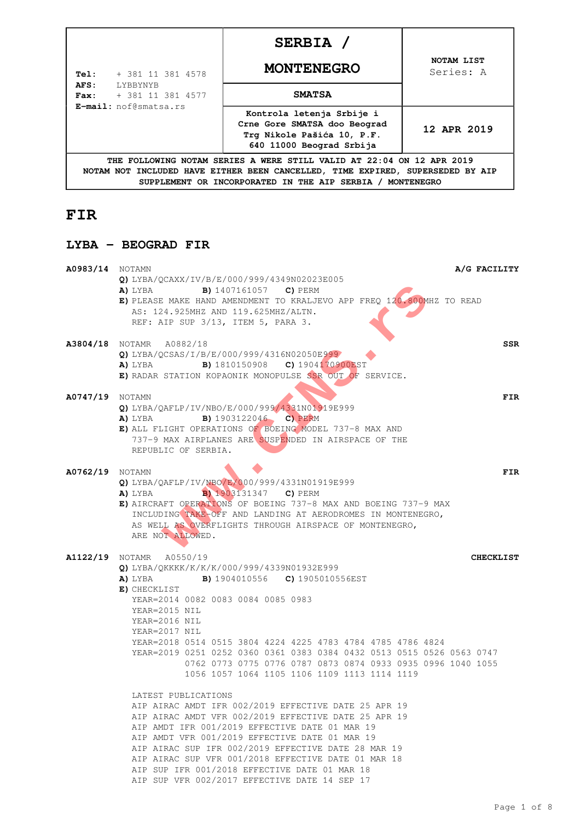|                                                                                                                                                                                                                                | SERBIA /                                                                                                            |                         |
|--------------------------------------------------------------------------------------------------------------------------------------------------------------------------------------------------------------------------------|---------------------------------------------------------------------------------------------------------------------|-------------------------|
| + 381 11 381 4578<br>Tel:                                                                                                                                                                                                      | <b>MONTENEGRO</b>                                                                                                   | NOTAM LIST<br>Series: A |
| AFS:<br><b>LYBBYNYB</b><br>+ 381 11 381 4577<br>$\textbf{Fax}:$<br>E-mail: nof@smatsa.rs                                                                                                                                       | <b>SMATSA</b>                                                                                                       |                         |
|                                                                                                                                                                                                                                | Kontrola letenja Srbije i<br>Crne Gore SMATSA doo Beograd<br>Trq Nikole Pašića 10, P.F.<br>640 11000 Beograd Srbija | 12 APR 2019             |
| THE FOLLOWING NOTAM SERIES A WERE STILL VALID AT 22:04 ON 12 APR 2019<br>NOTAM NOT INCLUDED HAVE EITHER BEEN CANCELLED, TIME EXPIRED, SUPERSEDED BY AIP<br>SUPPLEMENT OR INCORPORATED IN THE AIP SERBIA /<br><b>MONTENEGRO</b> |                                                                                                                     |                         |

# **FIR**

## **LYBA - BEOGRAD FIR**

| <b>A0983/14</b> NOTAMN | A/G FACILITY<br>Q) LYBA/OCAXX/IV/B/E/000/999/4349N02023E005                                                                                                                                                                                                                                                                                                                                                                                                                                              |                  |
|------------------------|----------------------------------------------------------------------------------------------------------------------------------------------------------------------------------------------------------------------------------------------------------------------------------------------------------------------------------------------------------------------------------------------------------------------------------------------------------------------------------------------------------|------------------|
|                        | A) LYBA<br><b>B)</b> 1407161057 <b>C)</b> PERM<br>E) PLEASE MAKE HAND AMENDMENT TO KRALJEVO APP FREQ 120.800MHZ TO READ<br>AS: 124.925MHZ AND 119.625MHZ/ALTN.<br>REF: AIP SUP 3/13, ITEM 5, PARA 3.                                                                                                                                                                                                                                                                                                     |                  |
|                        | <b>A3804/18</b> NOTAMR A0882/18<br>Q) LYBA/QCSAS/I/B/E/000/999/4316N02050E999<br><b>A)</b> LYBA <b>B)</b> 1810150908 <b>C)</b> 1904170900EST<br>E) RADAR STATION KOPAONIK MONOPULSE SSR OUT OF SERVICE.                                                                                                                                                                                                                                                                                                  | SSR              |
| <b>A0747/19</b> NOTAMN | Q) LYBA/QAFLP/IV/NBO/E/000/999/4331N01919E999<br>B) 1903122046 C) PERM<br>A) LYBA<br>E) ALL FLIGHT OPERATIONS OF BOEING MODEL 737-8 MAX AND<br>737-9 MAX AIRPLANES ARE SUSPENDED IN AIRSPACE OF THE<br>REPUBLIC OF SERBIA.                                                                                                                                                                                                                                                                               | FIR              |
| <b>A0762/19</b> NOTAMN | Q) LYBA/QAFLP/IV/NBO/E/000/999/4331N01919E999<br><b>B</b> 1903131347 <b>C</b> PERM<br>A) LYBA<br>E) AIRCRAFT OPERATIONS OF BOEING 737-8 MAX AND BOEING 737-9 MAX<br>INCLUDING TAKE OFF AND LANDING AT AERODROMES IN MONTENEGRO,<br>AS WELL AS OVERFLIGHTS THROUGH AIRSPACE OF MONTENEGRO,<br>ARE NOT ALLOWED.                                                                                                                                                                                            | FIR              |
|                        | <b>A1122/19</b> NOTAMR A0550/19<br>Q) LYBA/QKKKK/K/K/K/000/999/4339N01932E999<br><b>B)</b> 1904010556 <b>C)</b> 1905010556EST<br>A) LYBA<br>E) CHECKLIST<br>YEAR=2014 0082 0083 0084 0085 0983<br>YEAR=2015 NIL<br>YEAR=2016 NIL<br>YEAR=2017 NIL<br>YEAR=2018 0514 0515 3804 4224 4225 4783 4784 4785 4786 4824<br>YEAR=2019 0251 0252 0360 0361 0383 0384 0432 0513 0515 0526 0563 0747<br>0762 0773 0775 0776 0787 0873 0874 0933 0935 0996 1040 1055<br>1056 1057 1064 1105 1106 1109 1113 1114 1119 | <b>CHECKLIST</b> |
|                        | LATEST PUBLICATIONS<br>AIP AIRAC AMDT IFR 002/2019 EFFECTIVE DATE 25 APR 19<br>AIP AIRAC AMDT VFR 002/2019 EFFECTIVE DATE 25 APR 19<br>AIP AMDT IFR 001/2019 EFFECTIVE DATE 01 MAR 19<br>AIP AMDT VFR 001/2019 EFFECTIVE DATE 01 MAR 19<br>AIP AIRAC SUP IFR 002/2019 EFFECTIVE DATE 28 MAR 19<br>AIP AIRAC SUP VFR 001/2018 EFFECTIVE DATE 01 MAR 18<br>AIP SUP IFR 001/2018 EFFECTIVE DATE 01 MAR 18<br>AIP SUP VFR 002/2017 EFFECTIVE DATE 14 SEP 17                                                  |                  |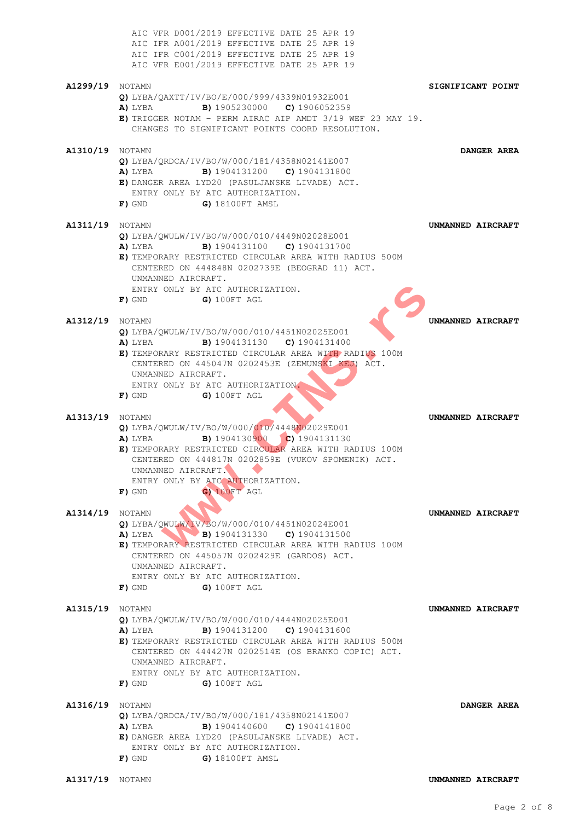|                        | AIC VFR D001/2019 EFFECTIVE DATE 25 APR 19<br>AIC IFR A001/2019 EFFECTIVE DATE 25 APR 19<br>AIC IFR C001/2019 EFFECTIVE DATE 25 APR 19<br>AIC VFR E001/2019 EFFECTIVE DATE 25 APR 19                                                                                                                             |                   |
|------------------------|------------------------------------------------------------------------------------------------------------------------------------------------------------------------------------------------------------------------------------------------------------------------------------------------------------------|-------------------|
| <b>A1299/19</b> NOTAMN | Q) LYBA/QAXTT/IV/BO/E/000/999/4339N01932E001<br><b>B)</b> 1905230000 <b>C)</b> 1906052359<br>A) LYBA<br>E) TRIGGER NOTAM - PERM AIRAC AIP AMDT 3/19 WEF 23 MAY 19.<br>CHANGES TO SIGNIFICANT POINTS COORD RESOLUTION.                                                                                            | SIGNIFICANT POINT |
| <b>A1310/19</b> NOTAMN | Q) LYBA/QRDCA/IV/BO/W/000/181/4358N02141E007<br><b>B)</b> 1904131200 <b>C)</b> 1904131800<br>A) LYBA<br>E) DANGER AREA LYD20 (PASULJANSKE LIVADE) ACT.<br>ENTRY ONLY BY ATC AUTHORIZATION.<br>G) 18100FT AMSL<br>F) GND                                                                                          | DANGER AREA       |
| A1311/19               | NOTAMN<br>Q) LYBA/QWULW/IV/BO/W/000/010/4449N02028E001<br><b>B)</b> 1904131100 <b>C)</b> 1904131700<br>A) LYBA<br>E) TEMPORARY RESTRICTED CIRCULAR AREA WITH RADIUS 500M<br>CENTERED ON 444848N 0202739E (BEOGRAD 11) ACT.<br>UNMANNED AIRCRAFT.<br>ENTRY ONLY BY ATC AUTHORIZATION.<br>$F)$ gnd<br>G) 100FT AGL | UNMANNED AIRCRAFT |
| <b>A1312/19</b> NOTAMN | Q) LYBA/QWULW/IV/BO/W/000/010/4451N02025E001<br><b>B)</b> 1904131130 <b>C)</b> 1904131400<br>A) LYBA<br>E) TEMPORARY RESTRICTED CIRCULAR AREA WITH RADIUS 100M<br>CENTERED ON 445047N 0202453E (ZEMUNSKI KEJ) ACT.<br>UNMANNED AIRCRAFT.<br>ENTRY ONLY BY ATC AUTHORIZATION.<br>G) 100FT AGL<br>F) GND           | UNMANNED AIRCRAFT |
| <b>A1313/19</b> NOTAMN | Q) LYBA/QWULW/IV/BO/W/000/010/4448N02029E001<br><b>B)</b> 1904130900 <b>C)</b> 1904131130<br>A) LYBA<br>E) TEMPORARY RESTRICTED CIRCULAR AREA WITH RADIUS 100M<br>CENTERED ON 444817N 0202859E (VUKOV SPOMENIK) ACT.<br>UNMANNED AIRCRAFT.<br>ENTRY ONLY BY ATC AUTHORIZATION.<br>G) 100FT AGL<br>F) GND         | UNMANNED AIRCRAFT |
| <b>A1314/19</b> NOTAMN | Q) LYBA/QWULW/IV/BO/W/000/010/4451N02024E001<br>A) LYBA B) 1904131330 C) 1904131500<br>E) TEMPORARY RESTRICTED CIRCULAR AREA WITH RADIUS 100M<br>CENTERED ON 445057N 0202429E (GARDOS) ACT.<br>UNMANNED AIRCRAFT.<br>ENTRY ONLY BY ATC AUTHORIZATION.<br>F) GND<br>G) 100FT AGL                                  | UNMANNED AIRCRAFT |
| <b>A1315/19</b> NOTAMN | Q) LYBA/OWULW/IV/BO/W/000/010/4444N02025E001<br><b>B)</b> 1904131200 <b>C)</b> 1904131600<br>A) LYBA<br>E) TEMPORARY RESTRICTED CIRCULAR AREA WITH RADIUS 500M<br>CENTERED ON 444427N 0202514E (OS BRANKO COPIC) ACT.<br>UNMANNED AIRCRAFT.<br>ENTRY ONLY BY ATC AUTHORIZATION.<br>$F)$ gnd<br>G) 100FT AGL      | UNMANNED AIRCRAFT |
| <b>A1316/19</b> NOTAMN | Q) LYBA/QRDCA/IV/BO/W/000/181/4358N02141E007<br><b>B)</b> 1904140600 <b>C)</b> 1904141800<br>A) LYBA<br>E) DANGER AREA LYD20 (PASULJANSKE LIVADE) ACT.<br>ENTRY ONLY BY ATC AUTHORIZATION.<br>F) GND<br>G) 18100FT AMSL                                                                                          | DANGER AREA       |
| <b>A1317/19</b> NOTAMN |                                                                                                                                                                                                                                                                                                                  | UNMANNED AIRCRAFT |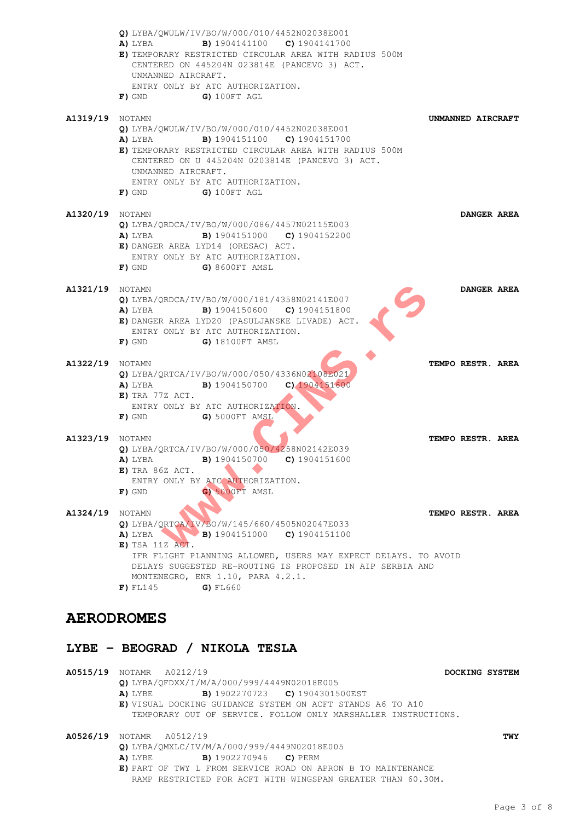|                        | Q) LYBA/OWULW/IV/BO/W/000/010/4452N02038E001<br><b>B)</b> 1904141100 <b>C)</b> 1904141700<br>A) LYBA<br>E) TEMPORARY RESTRICTED CIRCULAR AREA WITH RADIUS 500M<br>CENTERED ON 445204N 023814E (PANCEVO 3) ACT.<br>UNMANNED AIRCRAFT.<br>ENTRY ONLY BY ATC AUTHORIZATION.<br>G) 100FT AGL<br>$\mathbf{F}$ ) gnd |                   |
|------------------------|----------------------------------------------------------------------------------------------------------------------------------------------------------------------------------------------------------------------------------------------------------------------------------------------------------------|-------------------|
| <b>A1319/19</b> NOTAMN | Q) LYBA/QWULW/IV/BO/W/000/010/4452N02038E001<br><b>B)</b> 1904151100 <b>C)</b> 1904151700<br>A) LYBA<br>E) TEMPORARY RESTRICTED CIRCULAR AREA WITH RADIUS 500M<br>CENTERED ON U 445204N 0203814E (PANCEVO 3) ACT.<br>UNMANNED AIRCRAFT.<br>ENTRY ONLY BY ATC AUTHORIZATION.<br>F) GND<br>G) 100FT AGL          | UNMANNED AIRCRAFT |
| <b>A1320/19</b> NOTAMN | Q) LYBA/QRDCA/IV/BO/W/000/086/4457N02115E003<br><b>A)</b> LYBA <b>B)</b> 1904151000 <b>C)</b> 1904152200<br>E) DANGER AREA LYD14 (ORESAC) ACT.<br>ENTRY ONLY BY ATC AUTHORIZATION.<br>$F)$ GND $G)$ 8600FT AMSL                                                                                                | DANGER AREA       |
| <b>A1321/19</b> NOTAMN | Q) LYBA/QRDCA/IV/BO/W/000/181/4358N02141E007<br><b>A)</b> LYBA <b>B)</b> 1904150600 <b>C)</b> 1904151800<br>E) DANGER AREA LYD20 (PASULJANSKE LIVADE) ACT.<br>ENTRY ONLY BY ATC AUTHORIZATION.<br>G) 18100FT AMSL<br>$F)$ gnd                                                                                  | DANGER AREA       |
| <b>A1322/19</b> NOTAMN | Q) LYBA/QRTCA/IV/BO/W/000/050/4336N02108E021<br><b>A)</b> LYBA <b>B)</b> 1904150700 <b>C)</b> 1904151600<br>E) TRA 77Z ACT.<br>ENTRY ONLY BY ATC AUTHORIZATION.<br>G) 5000FT AMSL<br>F) GND                                                                                                                    | TEMPO RESTR. AREA |
| <b>A1323/19</b> NOTAMN | Q) LYBA/QRTCA/IV/BO/W/000/050/4258N02142E039<br><b>A)</b> LYBA <b>B)</b> 1904150700 <b>C)</b> 1904151600<br>E) TRA 86Z ACT.<br>ENTRY ONLY BY ATC AUTHORIZATION.<br>G) 5000FT AMSL<br>$F)$ GND                                                                                                                  | TEMPO RESTR. AREA |
| <b>A1324/19</b> NOTAMN | Q) LYBA/QRTCA/IV/BO/W/145/660/4505N02047E033<br>A) LYBA B) 1904151000 C) 1904151100<br>E) TSA 11Z ACT.<br>IFR FLIGHT PLANNING ALLOWED, USERS MAY EXPECT DELAYS. TO AVOID<br>DELAYS SUGGESTED RE-ROUTING IS PROPOSED IN AIP SERBIA AND<br>MONTENEGRO, ENR 1.10, PARA 4.2.1.<br>G) FL660<br>$F$ ) FL145          | TEMPO RESTR. AREA |

## **AERODROMES**

## **LYBE - BEOGRAD / NIKOLA TESLA**

**A0515/19** NOTAMR A0212/19 **DOCKING SYSTEM Q)** LYBA/QFDXX/I/M/A/000/999/4449N02018E005 **A)** LYBE **B)** 1902270723 **C)** 1904301500EST **E)** VISUAL DOCKING GUIDANCE SYSTEM ON ACFT STANDS A6 TO A10 TEMPORARY OUT OF SERVICE. FOLLOW ONLY MARSHALLER INSTRUCTIONS. **A0526/19** NOTAMR A0512/19 **TWY Q)** LYBA/QMXLC/IV/M/A/000/999/4449N02018E005 **A)** LYBE **B)** 1902270946 **C)** PERM **E)** PART OF TWY L FROM SERVICE ROAD ON APRON B TO MAINTENANCE RAMP RESTRICTED FOR ACFT WITH WINGSPAN GREATER THAN 60.30M.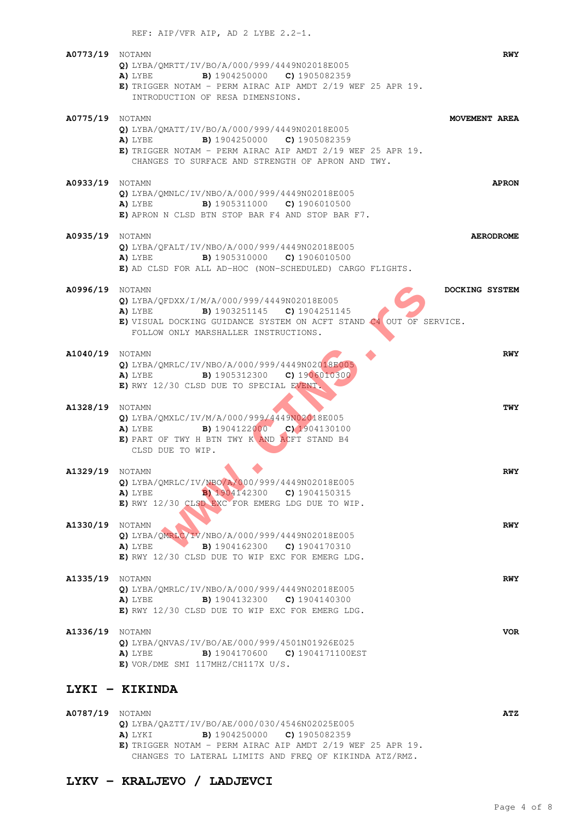| <b>A0773/19</b> NOTAMN | Q) LYBA/QMRTT/IV/BO/A/000/999/4449N02018E005<br><b>B)</b> 1904250000 <b>C)</b> 1905082359<br>A) LYBE<br>E) TRIGGER NOTAM - PERM AIRAC AIP AMDT $2/19$ WEF 25 APR 19.<br>INTRODUCTION OF RESA DIMENSIONS.                  | <b>RWY</b>       |
|------------------------|---------------------------------------------------------------------------------------------------------------------------------------------------------------------------------------------------------------------------|------------------|
| <b>A0775/19</b> NOTAMN | Q) LYBA/QMATT/IV/BO/A/000/999/4449N02018E005<br><b>B)</b> 1904250000 <b>C)</b> 1905082359<br>A) LYBE<br>E) TRIGGER NOTAM - PERM AIRAC AIP AMDT $2/19$ WEF 25 APR 19.<br>CHANGES TO SURFACE AND STRENGTH OF APRON AND TWY. | MOVEMENT AREA    |
| <b>A0933/19</b> NOTAMN | Q) LYBA/QMNLC/IV/NBO/A/000/999/4449N02018E005<br><b>B)</b> 1905311000 <b>C)</b> 1906010500<br>A) LYBE<br>E) APRON N CLSD BTN STOP BAR F4 AND STOP BAR F7.                                                                 | <b>APRON</b>     |
| <b>A0935/19</b> NOTAMN | Q) LYBA/QFALT/IV/NBO/A/000/999/4449N02018E005<br><b>B)</b> 1905310000 <b>C)</b> 1906010500<br>A) LYBE<br>E) AD CLSD FOR ALL AD-HOC (NON-SCHEDULED) CARGO FLIGHTS.                                                         | <b>AERODROME</b> |
| <b>A0996/19</b> NOTAMN | Q) LYBA/QFDXX/I/M/A/000/999/4449N02018E005<br><b>B)</b> 1903251145 <b>C)</b> 1904251145<br>A) LYBE<br>E) VISUAL DOCKING GUIDANCE SYSTEM ON ACFT STAND C4 OUT OF SERVICE.<br>FOLLOW ONLY MARSHALLER INSTRUCTIONS.          | DOCKING SYSTEM   |
| <b>A1040/19</b> NOTAMN | Q) LYBA/QMRLC/IV/NBO/A/000/999/4449N02018E005<br><b>B)</b> 1905312300 <b>C)</b> 1906010300<br>A) LYBE<br>E) RWY 12/30 CLSD DUE TO SPECIAL EVENT.                                                                          | <b>RWY</b>       |
| <b>A1328/19</b> NOTAMN | Q) LYBA/QMXLC/IV/M/A/000/999/4449N02018E005<br>B) 1904122000 C) 1904130100<br>A) LYBE<br>E) PART OF TWY H BTN TWY K AND ACFT STAND B4<br>CLSD DUE TO WIP.                                                                 | TWY              |
| <b>A1329/19</b> NOTAMN | Q) LYBA/QMRLC/IV/NBO/A/000/999/4449N02018E005<br><b>B</b> 1904142300 <b>C</b> 1904150315<br>A) LYBE<br>E) RWY 12/30 CLSD EXC FOR EMERG LDG DUE TO WIP.                                                                    | <b>RWY</b>       |
| <b>A1330/19</b> NOTAMN | Q) LYBA/OMRLC/IV/NBO/A/000/999/4449N02018E005<br><b>B)</b> 1904162300 <b>C)</b> 1904170310<br>A) LYBE<br>E) RWY 12/30 CLSD DUE TO WIP EXC FOR EMERG LDG.                                                                  | <b>RWY</b>       |
| <b>A1335/19</b> NOTAMN | Q) LYBA/QMRLC/IV/NBO/A/000/999/4449N02018E005<br><b>B)</b> 1904132300 <b>C)</b> 1904140300<br>A) LYBE<br>E) RWY 12/30 CLSD DUE TO WIP EXC FOR EMERG LDG.                                                                  | <b>RWY</b>       |
| <b>A1336/19</b> NOTAMN | Q) LYBA/QNVAS/IV/BO/AE/000/999/4501N01926E025<br><b>B)</b> 1904170600 <b>C)</b> 1904171100EST<br>A) LYBE<br>$E)$ VOR/DME SMI 117MHZ/CH117X U/S.                                                                           | <b>VOR</b>       |

## **LYKI - KIKINDA**

| <b>A0787/19</b> NOTAMN |                                                               | ATZ |
|------------------------|---------------------------------------------------------------|-----|
|                        | Q) LYBA/OAZTT/IV/BO/AE/000/030/4546N02025E005                 |     |
|                        | <b>B)</b> 1904250000 <b>C)</b> 1905082359<br>A) LYKI          |     |
|                        | $E$ ) TRIGGER NOTAM - PERM AIRAC AIP AMDT 2/19 WEF 25 APR 19. |     |
|                        | CHANGES TO LATERAL LIMITS AND FREO OF KIKINDA ATZ/RMZ.        |     |

## **LYKV - KRALJEVO / LADJEVCI**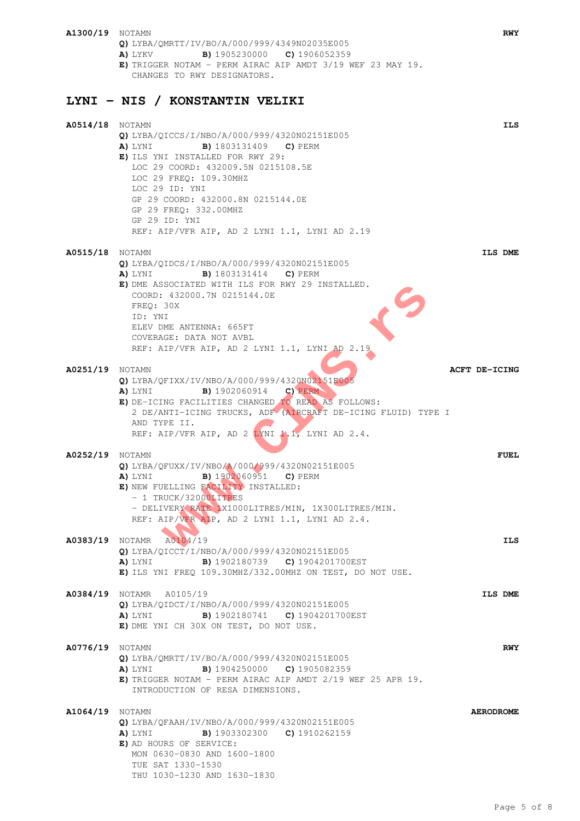**A1300/19** NOTAMN **RWY Q)** LYBA/QMRTT/IV/BO/A/000/999/4349N02035E005 **A)** LYKV **B)** 1905230000 **C)** 1906052359 **E)** TRIGGER NOTAM - PERM AIRAC AIP AMDT 3/19 WEF 23 MAY 19. CHANGES TO RWY DESIGNATORS. **LYNI - NIS / KONSTANTIN VELIKI A0514/18** NOTAMN **ILS Q)** LYBA/QICCS/I/NBO/A/000/999/4320N02151E005 **A)** LYNI **B)** 1803131409 **C)** PERM **E)** ILS YNI INSTALLED FOR RWY 29: LOC 29 COORD: 432009.5N 0215108.5E LOC 29 FREQ: 109.30MHZ LOC 29 ID: YNI GP 29 COORD: 432000.8N 0215144.0E GP 29 FREQ: 332.00MHZ GP 29 ID: YNI REF: AIP/VFR AIP, AD 2 LYNI 1.1, LYNI AD 2.19 **A0515/18** NOTAMN **ILS DME Q)** LYBA/QIDCS/I/NBO/A/000/999/4320N02151E005 **A)** LYNI **B)** 1803131414 **C)** PERM **E)** DME ASSOCIATED WITH ILS FOR RWY 29 INSTALLED. COORD: 432000.7N 0215144.0E FREQ: 30X ID: YNI ELEV DME ANTENNA: 665FT COVERAGE: DATA NOT AVBL REF: AIP/VFR AIP, AD 2 LYNI 1.1, LYNI AD 2.19 **A0251/19** NOTAMN **ACFT DE-ICING Q)** LYBA/QFIXX/IV/NBO/A/000/999/4320N02151E005 **A)** LYNI **B)** 1902060914 **C)** PERM **E)** DE-ICING FACILITIES CHANGED TO READ AS FOLLOWS: 2 DE/ANTI-ICING TRUCKS, ADF (AIRCRAFT DE-ICING FLUID) TYPE I AND TYPE II. REF: AIP/VFR AIP, AD 2 LYNI 1.1, LYNI AD 2.4. **A0252/19** NOTAMN **FUEL Q)** LYBA/QFUXX/IV/NBO/A/000/999/4320N02151E005 **A)** LYNI **B)** 1902060951 **C)** PERM **E)** NEW FUELLING FACILITY INSTALLED: - 1 TRUCK/32000LITRES - DELIVERY RATE 1X1000LITRES/MIN, 1X300LITRES/MIN. REF: AIP/VFR AIP, AD 2 LYNI 1.1, LYNI AD 2.4. **A0383/19** NOTAMR A0104/19 **ILS Q)** LYBA/QICCT/I/NBO/A/000/999/4320N02151E005 **A)** LYNI **B)** 1902180739 **C)** 1904201700EST **E)** ILS YNI FREQ 109.30MHZ/332.00MHZ ON TEST, DO NOT USE. **A0384/19** NOTAMR A0105/19 **ILS DME Q)** LYBA/QIDCT/I/NBO/A/000/999/4320N02151E005 **A)** LYNI **B)** 1902180741 **C)** 1904201700EST **E)** DME YNI CH 30X ON TEST, DO NOT USE. **A0776/19** NOTAMN **RWY Q)** LYBA/QMRTT/IV/BO/A/000/999/4320N02151E005 **A)** LYNI **B)** 1904250000 **C)** 1905082359 **E)** TRIGGER NOTAM - PERM AIRAC AIP AMDT 2/19 WEF 25 APR 19. INTRODUCTION OF RESA DIMENSIONS. **A1064/19** NOTAMN **AERODROME Q)** LYBA/QFAAH/IV/NBO/A/000/999/4320N02151E005 **A)** LYNI **B)** 1903302300 **C)** 1910262159 **E)** AD HOURS OF SERVICE: MON 0630-0830 AND 1600-1800 TUE SAT 1330-1530 THU 1030-1230 AND 1630-1830 **www.CINS.rs**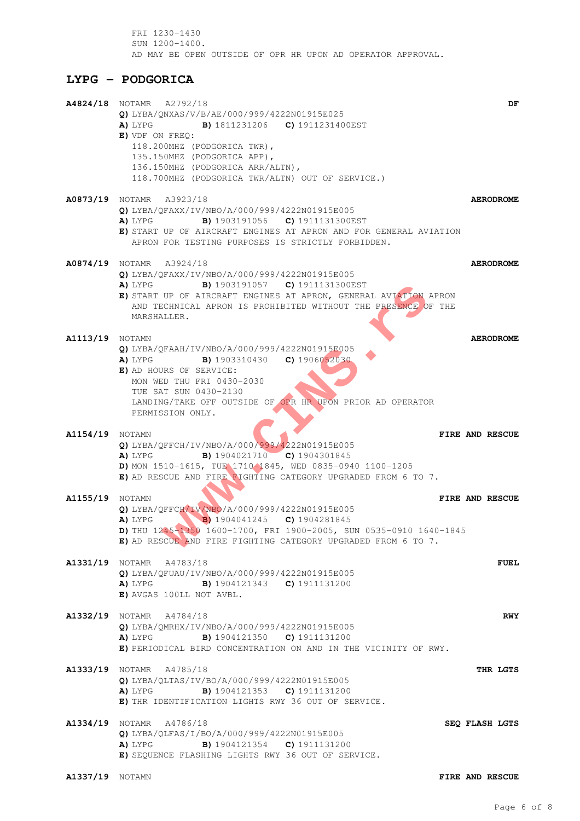FRI 1230-1430 SUN 1200-1400. AD MAY BE OPEN OUTSIDE OF OPR HR UPON AD OPERATOR APPROVAL.

## **LYPG - PODGORICA**

|                        | A4824/18 NOTAMR A2792/18<br>$Q)$ LYBA/QNXAS/V/B/AE/000/999/4222N01915E025<br><b>A)</b> LYPG <b>B)</b> 1811231206 <b>C)</b> 1911231400EST<br>E) VDF ON FREQ:<br>118.200MHZ (PODGORICA TWR),<br>135.150MHZ (PODGORICA APP),<br>136.150MHZ (PODGORICA ARR/ALTN),<br>118.700MHZ (PODGORICA TWR/ALTN) OUT OF SERVICE.) |                  | DF         |
|------------------------|-------------------------------------------------------------------------------------------------------------------------------------------------------------------------------------------------------------------------------------------------------------------------------------------------------------------|------------------|------------|
|                        | <b>A0873/19</b> NOTAMR A3923/18<br>Q) LYBA/QFAXX/IV/NBO/A/000/999/4222N01915E005<br>A) LYPG B) 1903191056 C) 1911131300EST<br>E) START UP OF AIRCRAFT ENGINES AT APRON AND FOR GENERAL AVIATION<br>APRON FOR TESTING PURPOSES IS STRICTLY FORBIDDEN.                                                              | <b>AERODROME</b> |            |
|                        | <b>A0874/19</b> NOTAMR A3924/18<br>Q) LYBA/QFAXX/IV/NBO/A/000/999/4222N01915E005<br><b>A)</b> LYPG <b>B)</b> 1903191057 <b>C)</b> 1911131300EST<br>E) START UP OF AIRCRAFT ENGINES AT APRON, GENERAL AVIATION APRON<br>AND TECHNICAL APRON IS PROHIBITED WITHOUT THE PRESENCE OF THE<br>MARSHALLER.               | <b>AERODROME</b> |            |
| <b>A1113/19</b> NOTAMN | Q) LYBA/OFAAH/IV/NBO/A/000/999/4222N01915E005<br><b>B)</b> 1903310430 <b>C)</b> 1906052030<br>A) LYPG<br>E) AD HOURS OF SERVICE:<br>MON WED THU FRI 0430-2030<br>TUE SAT SUN 0430-2130<br>LANDING/TAKE OFF OUTSIDE OF OPR HR UPON PRIOR AD OPERATOR<br>PERMISSION ONLY.                                           | <b>AERODROME</b> |            |
| <b>A1154/19</b> NOTAMN | Q) LYBA/QFFCH/IV/NBO/A/000/999/4222N01915E005<br><b>B)</b> 1904021710 <b>C)</b> 1904301845<br>A) LYPG<br>D) MON 1510-1615, TUE 1710-1845, WED 0835-0940 1100-1205<br>E) AD RESCUE AND FIRE FIGHTING CATEGORY UPGRADED FROM 6 TO 7.                                                                                | FIRE AND RESCUE  |            |
| <b>A1155/19</b> NOTAMN | Q) LYBA/QFFCH/IV/NBO/A/000/999/4222N01915E005<br>A) LYPG<br>B) 1904041245 C) 1904281845<br>D) THU 1245-1350 1600-1700, FRI 1900-2005, SUN 0535-0910 1640-1845<br>E) AD RESCUE AND FIRE FIGHTING CATEGORY UPGRADED FROM 6 TO 7.                                                                                    | FIRE AND RESCUE  |            |
|                        | A1331/19 NOTAMR A4783/18<br>Q) LYBA/QFUAU/IV/NBO/A/000/999/4222N01915E005<br><b>A)</b> LYPG <b>B)</b> 1904121343 <b>C)</b> 1911131200<br>E) AVGAS 100LL NOT AVBL.                                                                                                                                                 |                  | FUEL       |
|                        | A1332/19 NOTAMR A4784/18<br>Q) LYBA/QMRHX/IV/NBO/A/000/999/4222N01915E005<br><b>B)</b> 1904121350 <b>C)</b> 1911131200<br>A) LYPG<br>E) PERIODICAL BIRD CONCENTRATION ON AND IN THE VICINITY OF RWY.                                                                                                              |                  | <b>RWY</b> |
|                        | A1333/19 NOTAMR A4785/18<br>Q) LYBA/QLTAS/IV/BO/A/000/999/4222N01915E005<br><b>A)</b> LYPG <b>B)</b> 1904121353 <b>C)</b> 1911131200<br>E) THR IDENTIFICATION LIGHTS RWY 36 OUT OF SERVICE.                                                                                                                       |                  | THR LGTS   |
|                        | A1334/19 NOTAMR A4786/18<br>Q) LYBA/QLFAS/I/BO/A/000/999/4222N01915E005<br><b>A)</b> LYPG <b>B)</b> 1904121354 <b>C)</b> 1911131200<br>E) SEQUENCE FLASHING LIGHTS RWY 36 OUT OF SERVICE.                                                                                                                         | SEQ FLASH LGTS   |            |
| <b>A1337/19</b> NOTAMN |                                                                                                                                                                                                                                                                                                                   | FIRE AND RESCUE  |            |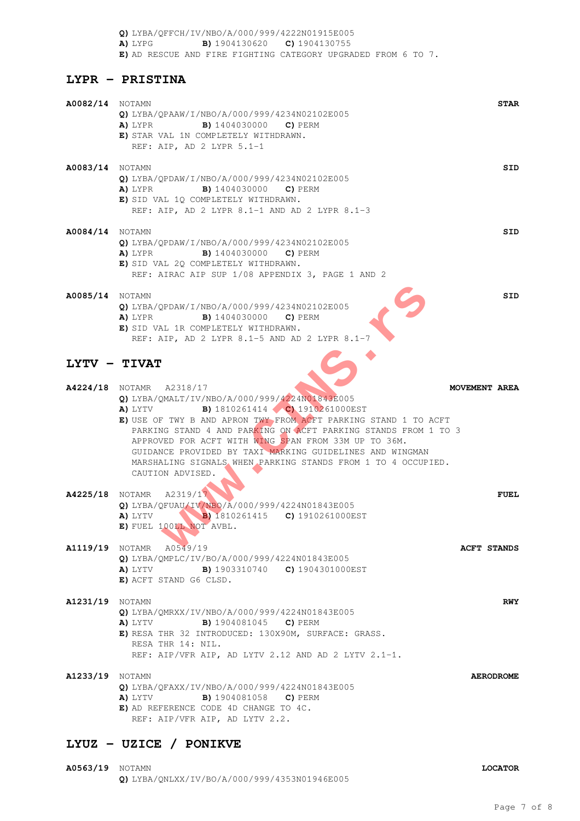**Q)** LYBA/QFFCH/IV/NBO/A/000/999/4222N01915E005 **A)** LYPG **B)** 1904130620 **C)** 1904130755 **E)** AD RESCUE AND FIRE FIGHTING CATEGORY UPGRADED FROM 6 TO 7.

### **LYPR - PRISTINA**

| <b>A0082/14</b> NOTAMN | <b>STAR</b><br>Q) LYBA/OPAAW/I/NBO/A/000/999/4234N02102E005<br><b>A)</b> LYPR <b>B)</b> 1404030000 <b>C)</b> PERM<br>E) STAR VAL 1N COMPLETELY WITHDRAWN.<br>REF: AIP, AD 2 LYPR 5.1-1                                                                                                                                                                                                                                                                                                                    |            |
|------------------------|-----------------------------------------------------------------------------------------------------------------------------------------------------------------------------------------------------------------------------------------------------------------------------------------------------------------------------------------------------------------------------------------------------------------------------------------------------------------------------------------------------------|------------|
| <b>A0083/14</b> NOTAMN | $Q)$ LYBA/QPDAW/I/NBO/A/000/999/4234N02102E005<br>A) LYPR<br><b>B)</b> 1404030000 <b>C)</b> PERM<br>E) SID VAL 1Q COMPLETELY WITHDRAWN.<br>REF: AIP, AD 2 LYPR 8.1-1 AND AD 2 LYPR 8.1-3                                                                                                                                                                                                                                                                                                                  | SID        |
| <b>A0084/14</b> NOTAMN | $Q)$ LYBA/QPDAW/I/NBO/A/000/999/4234N02102E005<br>A) LYPR<br><b>B)</b> 1404030000 <b>C)</b> PERM<br>E) SID VAL 2Q COMPLETELY WITHDRAWN.<br>REF: AIRAC AIP SUP 1/08 APPENDIX 3, PAGE 1 AND 2                                                                                                                                                                                                                                                                                                               | SID        |
| <b>A0085/14</b> NOTAMN | Q) LYBA/QPDAW/I/NBO/A/000/999/4234N02102E005<br><b>B)</b> 1404030000 <b>C)</b> PERM<br>A) LYPR<br>E) SID VAL 1R COMPLETELY WITHDRAWN.<br>REF: AIP, AD 2 LYPR 8.1-5 AND AD 2 LYPR 8.1-7                                                                                                                                                                                                                                                                                                                    | SID        |
| LYTV - TIVAT           |                                                                                                                                                                                                                                                                                                                                                                                                                                                                                                           |            |
|                        | <b>A4224/18</b> NOTAMR A2318/17<br>MOVEMENT AREA<br>Q) LYBA/QMALT/IV/NBO/A/000/999/4224N01843E005<br><b>B)</b> 1810261414 <b>C)</b> 1910261000EST<br>A) LYTV<br>E) USE OF TWY B AND APRON TWY FROM ACFT PARKING STAND 1 TO ACFT<br>PARKING STAND 4 AND PARKING ON ACFT PARKING STANDS FROM 1 TO 3<br>APPROVED FOR ACFT WITH WING SPAN FROM 33M UP TO 36M.<br>GUIDANCE PROVIDED BY TAXI MARKING GUIDELINES AND WINGMAN<br>MARSHALING SIGNALS WHEN PARKING STANDS FROM 1 TO 4 OCCUPIED.<br>CAUTION ADVISED. |            |
| <b>A4225/18</b> Notamr | A2319/17<br><b>FUEL</b><br>Q) LYBA/QFUAU/IV/NBO/A/000/999/4224N01843E005<br><b>B)</b> 1810261415 <b>C)</b> 1910261000EST<br>A) LYTV<br>E) FUEL 100LL NOT AVBL.                                                                                                                                                                                                                                                                                                                                            |            |
|                        | <b>A1119/19</b> NOTAMR A0549/19<br><b>ACFT STANDS</b><br>Q) LYBA/QMPLC/IV/BO/A/000/999/4224N01843E005<br><b>A)</b> LYTV <b>B)</b> 1903310740 <b>C)</b> 1904301000EST<br>E) ACFT STAND G6 CLSD.                                                                                                                                                                                                                                                                                                            |            |
| <b>A1231/19</b> NOTAMN | Q) LYBA/QMRXX/IV/NBO/A/000/999/4224N01843E005<br><b>B)</b> 1904081045 <b>C)</b> PERM<br>A) LYTV<br>E) RESA THR 32 INTRODUCED: 130X90M, SURFACE: GRASS.<br>RESA THR 14: NIL.<br>REF: AIP/VFR AIP, AD LYTV 2.12 AND AD 2 LYTV 2.1-1.                                                                                                                                                                                                                                                                        | <b>RWY</b> |
| <b>A1233/19</b> NOTAMN | <b>AERODROME</b><br>Q) LYBA/QFAXX/IV/NBO/A/000/999/4224N01843E005<br>A) LYTV<br><b>B)</b> 1904081058 <b>C)</b> PERM<br>E) AD REFERENCE CODE 4D CHANGE TO 4C.<br>REF: AIP/VFR AIP, AD LYTV 2.2.                                                                                                                                                                                                                                                                                                            |            |

# **LYUZ - UZICE / PONIKVE**